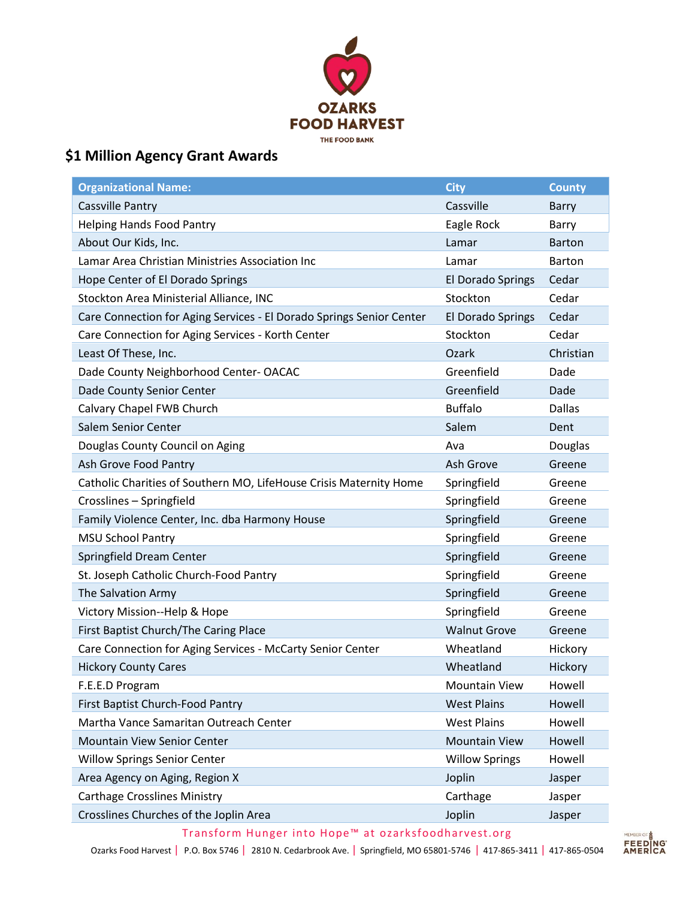

## **\$1 Million Agency Grant Awards**

| Cassville<br>Barry<br>Eagle Rock<br>Barry<br>Lamar<br><b>Barton</b><br><b>Barton</b><br>Lamar<br>El Dorado Springs<br>Cedar<br>Stockton<br>Cedar<br>Cedar<br>El Dorado Springs<br>Stockton<br>Cedar<br>Christian<br>Ozark<br>Greenfield<br>Dade<br>Greenfield<br>Dade<br><b>Buffalo</b><br><b>Dallas</b><br>Salem<br>Dent<br>Douglas<br>Ava<br>Ash Grove<br>Greene<br>Springfield<br>Greene<br>Springfield<br>Greene<br>Springfield<br>Greene<br>Springfield<br>Greene<br>Springfield<br>Greene<br>Springfield<br>Greene<br>Springfield<br>Greene<br>Springfield<br>Greene<br><b>Walnut Grove</b><br>Greene<br>Wheatland<br>Hickory<br>Wheatland<br>Hickory<br><b>Mountain View</b><br>Howell<br><b>West Plains</b><br>Howell<br><b>West Plains</b><br>Howell<br>Howell<br><b>Mountain View</b><br><b>Willow Springs</b><br>Howell | <b>Organizational Name:</b>                                          | <b>City</b> | <b>County</b> |
|------------------------------------------------------------------------------------------------------------------------------------------------------------------------------------------------------------------------------------------------------------------------------------------------------------------------------------------------------------------------------------------------------------------------------------------------------------------------------------------------------------------------------------------------------------------------------------------------------------------------------------------------------------------------------------------------------------------------------------------------------------------------------------------------------------------------------------|----------------------------------------------------------------------|-------------|---------------|
|                                                                                                                                                                                                                                                                                                                                                                                                                                                                                                                                                                                                                                                                                                                                                                                                                                    | Cassville Pantry                                                     |             |               |
|                                                                                                                                                                                                                                                                                                                                                                                                                                                                                                                                                                                                                                                                                                                                                                                                                                    | <b>Helping Hands Food Pantry</b>                                     |             |               |
|                                                                                                                                                                                                                                                                                                                                                                                                                                                                                                                                                                                                                                                                                                                                                                                                                                    | About Our Kids, Inc.                                                 |             |               |
|                                                                                                                                                                                                                                                                                                                                                                                                                                                                                                                                                                                                                                                                                                                                                                                                                                    | Lamar Area Christian Ministries Association Inc                      |             |               |
|                                                                                                                                                                                                                                                                                                                                                                                                                                                                                                                                                                                                                                                                                                                                                                                                                                    | Hope Center of El Dorado Springs                                     |             |               |
|                                                                                                                                                                                                                                                                                                                                                                                                                                                                                                                                                                                                                                                                                                                                                                                                                                    | Stockton Area Ministerial Alliance, INC                              |             |               |
|                                                                                                                                                                                                                                                                                                                                                                                                                                                                                                                                                                                                                                                                                                                                                                                                                                    | Care Connection for Aging Services - El Dorado Springs Senior Center |             |               |
|                                                                                                                                                                                                                                                                                                                                                                                                                                                                                                                                                                                                                                                                                                                                                                                                                                    | Care Connection for Aging Services - Korth Center                    |             |               |
|                                                                                                                                                                                                                                                                                                                                                                                                                                                                                                                                                                                                                                                                                                                                                                                                                                    | Least Of These, Inc.                                                 |             |               |
|                                                                                                                                                                                                                                                                                                                                                                                                                                                                                                                                                                                                                                                                                                                                                                                                                                    | Dade County Neighborhood Center-OACAC                                |             |               |
|                                                                                                                                                                                                                                                                                                                                                                                                                                                                                                                                                                                                                                                                                                                                                                                                                                    | Dade County Senior Center                                            |             |               |
|                                                                                                                                                                                                                                                                                                                                                                                                                                                                                                                                                                                                                                                                                                                                                                                                                                    | Calvary Chapel FWB Church                                            |             |               |
|                                                                                                                                                                                                                                                                                                                                                                                                                                                                                                                                                                                                                                                                                                                                                                                                                                    | Salem Senior Center                                                  |             |               |
|                                                                                                                                                                                                                                                                                                                                                                                                                                                                                                                                                                                                                                                                                                                                                                                                                                    | Douglas County Council on Aging                                      |             |               |
|                                                                                                                                                                                                                                                                                                                                                                                                                                                                                                                                                                                                                                                                                                                                                                                                                                    | Ash Grove Food Pantry                                                |             |               |
|                                                                                                                                                                                                                                                                                                                                                                                                                                                                                                                                                                                                                                                                                                                                                                                                                                    | Catholic Charities of Southern MO, LifeHouse Crisis Maternity Home   |             |               |
|                                                                                                                                                                                                                                                                                                                                                                                                                                                                                                                                                                                                                                                                                                                                                                                                                                    | Crosslines - Springfield                                             |             |               |
|                                                                                                                                                                                                                                                                                                                                                                                                                                                                                                                                                                                                                                                                                                                                                                                                                                    | Family Violence Center, Inc. dba Harmony House                       |             |               |
|                                                                                                                                                                                                                                                                                                                                                                                                                                                                                                                                                                                                                                                                                                                                                                                                                                    | <b>MSU School Pantry</b>                                             |             |               |
|                                                                                                                                                                                                                                                                                                                                                                                                                                                                                                                                                                                                                                                                                                                                                                                                                                    | Springfield Dream Center                                             |             |               |
|                                                                                                                                                                                                                                                                                                                                                                                                                                                                                                                                                                                                                                                                                                                                                                                                                                    | St. Joseph Catholic Church-Food Pantry                               |             |               |
|                                                                                                                                                                                                                                                                                                                                                                                                                                                                                                                                                                                                                                                                                                                                                                                                                                    | The Salvation Army                                                   |             |               |
|                                                                                                                                                                                                                                                                                                                                                                                                                                                                                                                                                                                                                                                                                                                                                                                                                                    | Victory Mission--Help & Hope                                         |             |               |
|                                                                                                                                                                                                                                                                                                                                                                                                                                                                                                                                                                                                                                                                                                                                                                                                                                    | First Baptist Church/The Caring Place                                |             |               |
|                                                                                                                                                                                                                                                                                                                                                                                                                                                                                                                                                                                                                                                                                                                                                                                                                                    | Care Connection for Aging Services - McCarty Senior Center           |             |               |
|                                                                                                                                                                                                                                                                                                                                                                                                                                                                                                                                                                                                                                                                                                                                                                                                                                    | <b>Hickory County Cares</b>                                          |             |               |
|                                                                                                                                                                                                                                                                                                                                                                                                                                                                                                                                                                                                                                                                                                                                                                                                                                    | F.E.E.D Program                                                      |             |               |
|                                                                                                                                                                                                                                                                                                                                                                                                                                                                                                                                                                                                                                                                                                                                                                                                                                    | First Baptist Church-Food Pantry                                     |             |               |
|                                                                                                                                                                                                                                                                                                                                                                                                                                                                                                                                                                                                                                                                                                                                                                                                                                    | Martha Vance Samaritan Outreach Center                               |             |               |
|                                                                                                                                                                                                                                                                                                                                                                                                                                                                                                                                                                                                                                                                                                                                                                                                                                    | Mountain View Senior Center                                          |             |               |
|                                                                                                                                                                                                                                                                                                                                                                                                                                                                                                                                                                                                                                                                                                                                                                                                                                    | <b>Willow Springs Senior Center</b>                                  |             |               |
|                                                                                                                                                                                                                                                                                                                                                                                                                                                                                                                                                                                                                                                                                                                                                                                                                                    | Area Agency on Aging, Region X                                       | Joplin      | Jasper        |
| Carthage<br>Jasper                                                                                                                                                                                                                                                                                                                                                                                                                                                                                                                                                                                                                                                                                                                                                                                                                 | <b>Carthage Crosslines Ministry</b>                                  |             |               |
| Joplin<br>Jasper                                                                                                                                                                                                                                                                                                                                                                                                                                                                                                                                                                                                                                                                                                                                                                                                                   | Crosslines Churches of the Joplin Area                               |             |               |

Transform Hunger into Hope™ at ozarksfoodharvest.org

Ozarks Food Harvest | P.O. Box 5746 | 2810 N. Cedarbrook Ave. | Springfield, MO 65801-5746 | 417-865-3411 | 417-865-0504